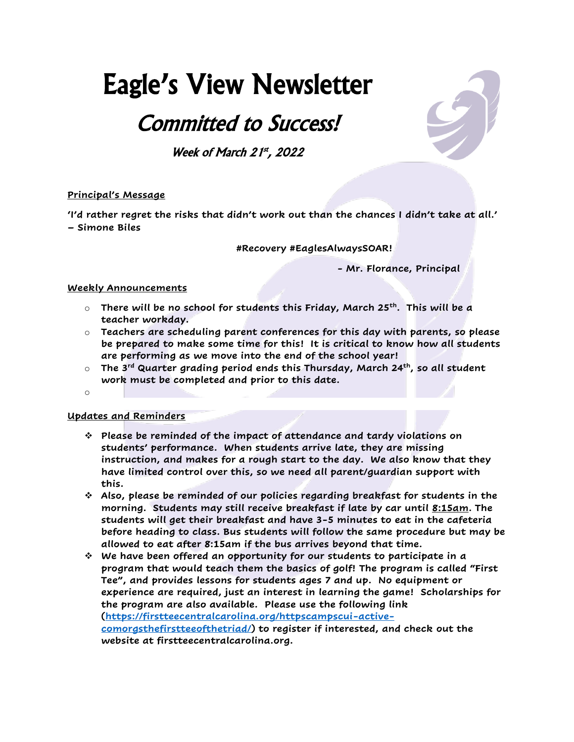# Eagle's View Newsletter

## Committed to Success!

Week of March  $21<sup>st</sup>$ , 2022

### **Principal's Message**

**'I'd rather regret the risks that didn't work out than the chances I didn't take at all.' – Simone Biles**

**#Recovery #EaglesAlwaysSOAR!**

**- Mr. Florance, Principal**

#### **Weekly Announcements**

- o **There will be no school for students this Friday, March 25th. This will be a teacher workday.**
- o **Teachers are scheduling parent conferences for this day with parents, so please be prepared to make some time for this! It is critical to know how all students are performing as we move into the end of the school year!**
- o **The 3rd Quarter grading period ends this Thursday, March 24th, so all student work must be completed and prior to this date.**
- o

#### **Updates and Reminders**

- ❖ **Please be reminded of the impact of attendance and tardy violations on students' performance. When students arrive late, they are missing instruction, and makes for a rough start to the day. We also know that they have limited control over this, so we need all parent/guardian support with this.**
- ❖ **Also, please be reminded of our policies regarding breakfast for students in the morning. Students may still receive breakfast if late by car until 8:15am. The students will get their breakfast and have 3-5 minutes to eat in the cafeteria before heading to class. Bus students will follow the same procedure but may be allowed to eat after 8:15am if the bus arrives beyond that time.**
- ❖ **We have been offered an opportunity for our students to participate in a program that would teach them the basics of golf! The program is called "First Tee", and provides lessons for students ages 7 and up. No equipment or experience are required, just an interest in learning the game! Scholarships for the program are also available. Please use the following link [\(https://firstteecentralcarolina.org/httpscampscui-active](https://firstteecentralcarolina.org/httpscampscui-active-comorgsthefirstteeofthetriad/)[comorgsthefirstteeofthetriad/\)](https://firstteecentralcarolina.org/httpscampscui-active-comorgsthefirstteeofthetriad/) to register if interested, and check out the website at firstteecentralcarolina.org.**